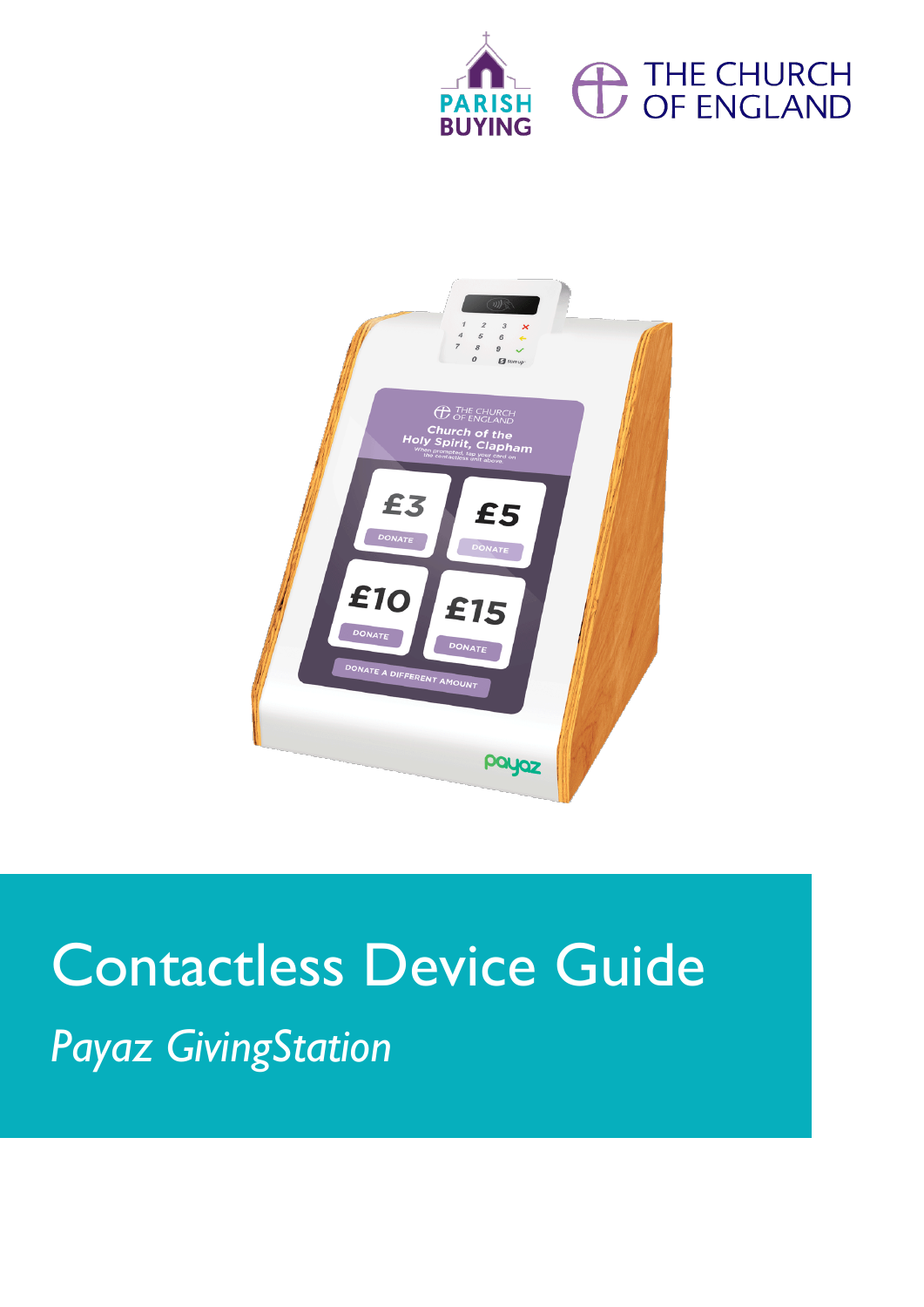





# Contactless Device Guide *Payaz GivingStation*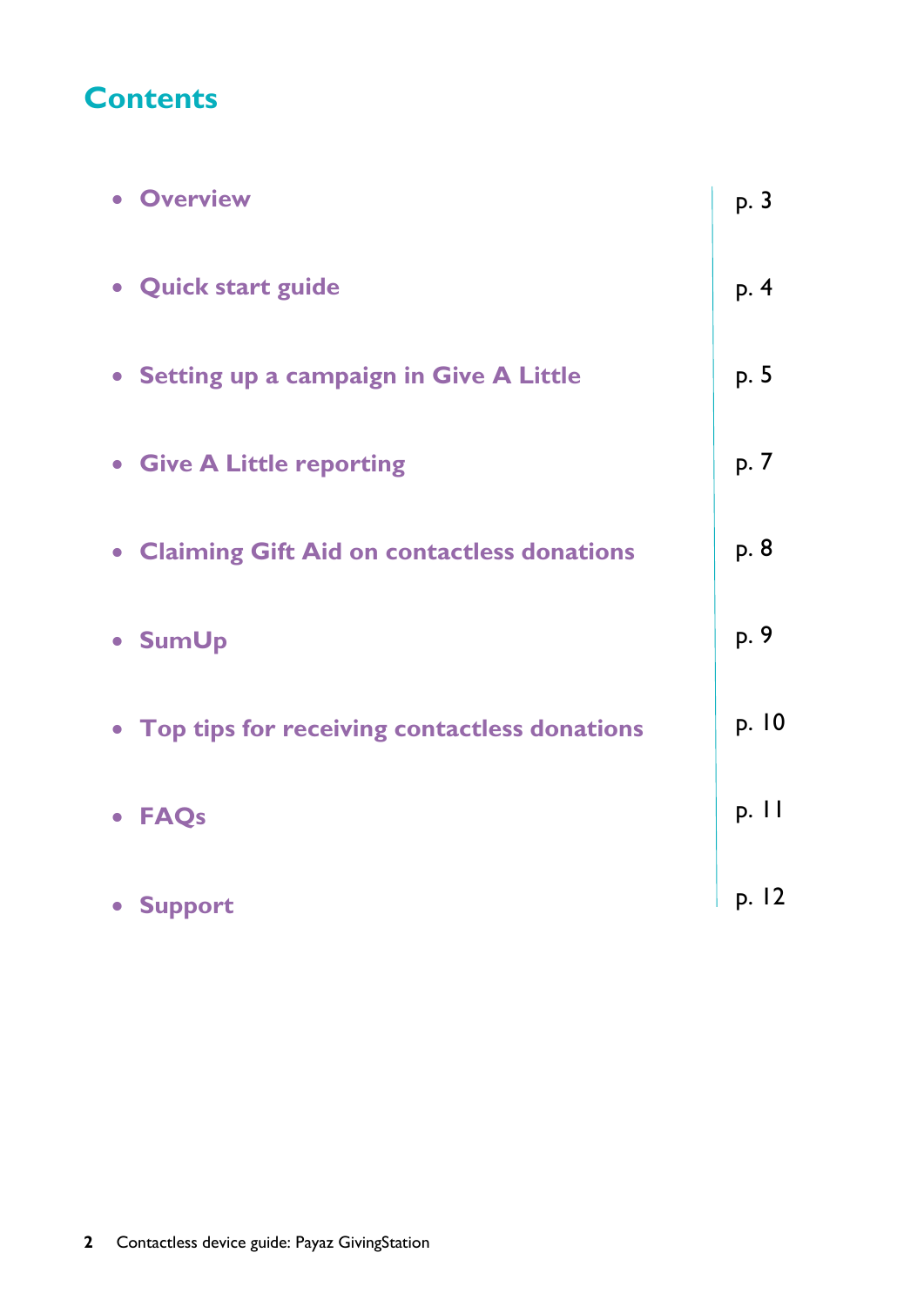# **Contents**

| <b>• Overview</b>                              | p. 3  |
|------------------------------------------------|-------|
| • Quick start guide                            | p. 4  |
| • Setting up a campaign in Give A Little       | p. 5  |
| • Give A Little reporting                      | p. 7  |
| • Claiming Gift Aid on contactless donations   | p. 8  |
| • SumUp                                        | p. 9  |
| • Top tips for receiving contactless donations | p. 10 |
| • FAQs                                         | p. 11 |
| • Support                                      | p. 12 |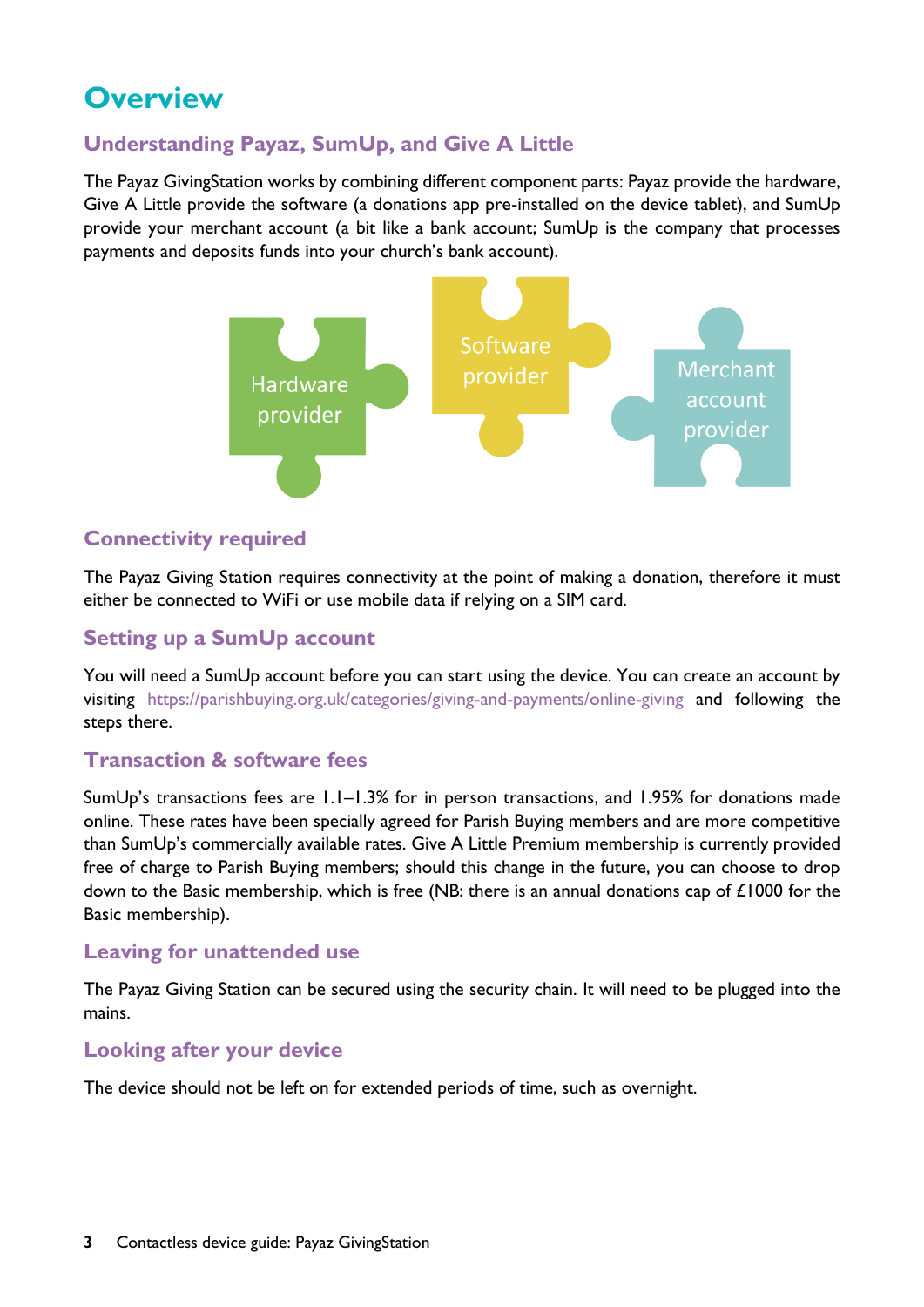# **Overview**

# **Understanding Payaz, SumUp, and Give A Little**

The Payaz GivingStation works by combining different component parts: Payaz provide the hardware, Give A Little provide the software (a donations app pre-installed on the device tablet), and SumUp provide your merchant account (a bit like a bank account; SumUp is the company that processes payments and deposits funds into your church's bank account).



### **Connectivity required**

The Payaz Giving Station requires connectivity at the point of making a donation, therefore it must either be connected to WiFi or use mobile data if relying on a SIM card.

# **Setting up a SumUp account**

You will need a SumUp account before you can start using the device. You can create an account by visiting <https://parishbuying.org.uk/categories/giving-and-payments/online-giving> and following the steps there.

### **Transaction & software fees**

SumUp's transactions fees are 1.1–1.3% for in person transactions, and 1.95% for donations made online. These rates have been specially agreed for Parish Buying members and are more competitive than SumUp's commercially available rates. Give A Little Premium membership is currently provided free of charge to Parish Buying members; should this change in the future, you can choose to drop down to the Basic membership, which is free (NB: there is an annual donations cap of £1000 for the Basic membership).

#### **Leaving for unattended use**

The Payaz Giving Station can be secured using the security chain. It will need to be plugged into the mains.

### **Looking after your device**

The device should not be left on for extended periods of time, such as overnight.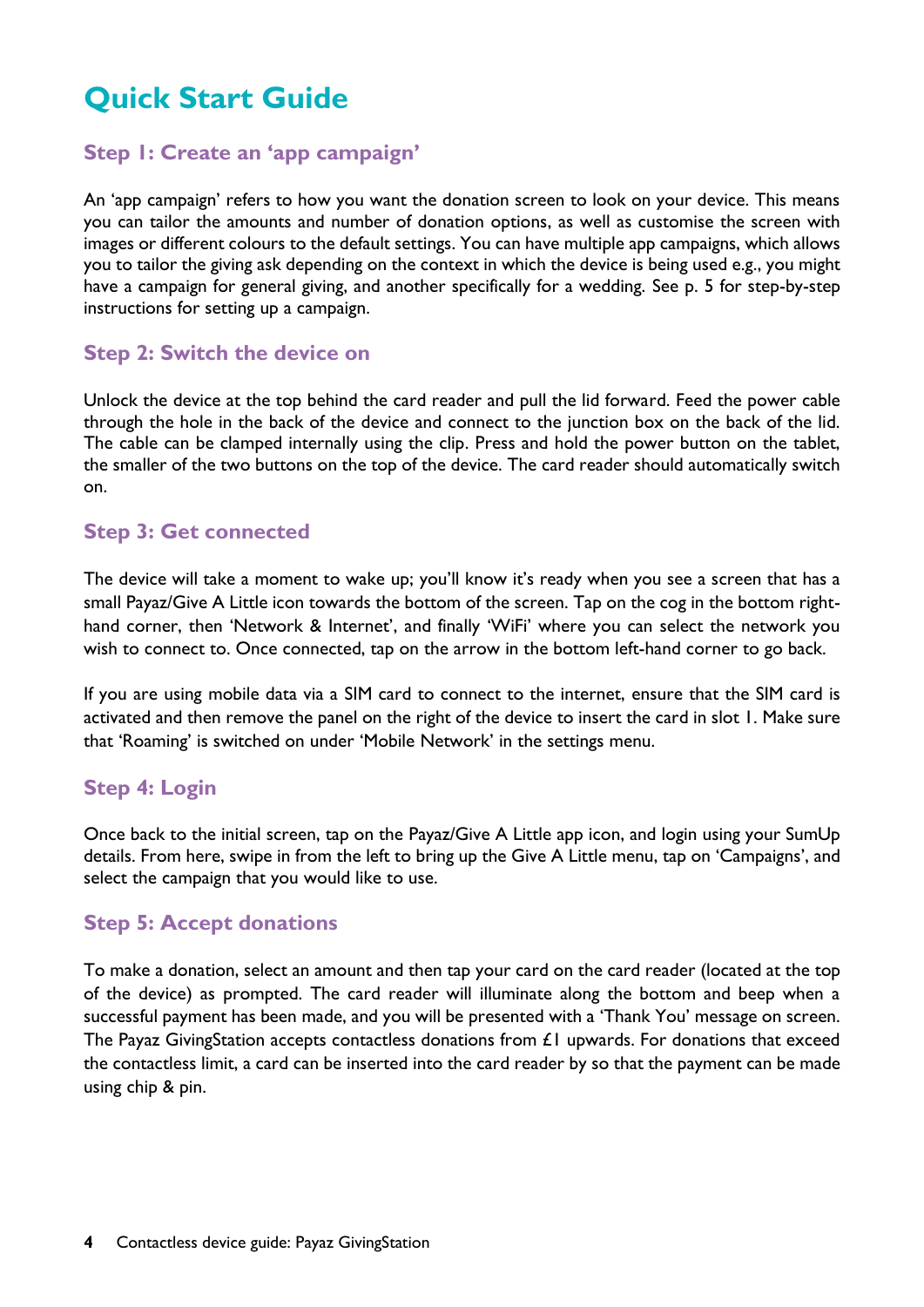# **Quick Start Guide**

### **Step 1: Create an 'app campaign'**

An 'app campaign' refers to how you want the donation screen to look on your device. This means you can tailor the amounts and number of donation options, as well as customise the screen with images or different colours to the default settings. You can have multiple app campaigns, which allows you to tailor the giving ask depending on the context in which the device is being used e.g., you might have a campaign for general giving, and another specifically for a wedding. See p. 5 for step-by-step instructions for setting up a campaign.

### **Step 2: Switch the device on**

Unlock the device at the top behind the card reader and pull the lid forward. Feed the power cable through the hole in the back of the device and connect to the junction box on the back of the lid. The cable can be clamped internally using the clip. Press and hold the power button on the tablet, the smaller of the two buttons on the top of the device. The card reader should automatically switch on.

### **Step 3: Get connected**

The device will take a moment to wake up; you'll know it's ready when you see a screen that has a small Payaz/Give A Little icon towards the bottom of the screen. Tap on the cog in the bottom righthand corner, then 'Network & Internet', and finally 'WiFi' where you can select the network you wish to connect to. Once connected, tap on the arrow in the bottom left-hand corner to go back.

If you are using mobile data via a SIM card to connect to the internet, ensure that the SIM card is activated and then remove the panel on the right of the device to insert the card in slot 1. Make sure that 'Roaming' is switched on under 'Mobile Network' in the settings menu.

### **Step 4: Login**

Once back to the initial screen, tap on the Payaz/Give A Little app icon, and login using your SumUp details. From here, swipe in from the left to bring up the Give A Little menu, tap on 'Campaigns', and select the campaign that you would like to use.

#### **Step 5: Accept donations**

To make a donation, select an amount and then tap your card on the card reader (located at the top of the device) as prompted. The card reader will illuminate along the bottom and beep when a successful payment has been made, and you will be presented with a 'Thank You' message on screen. The Payaz GivingStation accepts contactless donations from  $E1$  upwards. For donations that exceed the contactless limit, a card can be inserted into the card reader by so that the payment can be made using chip & pin.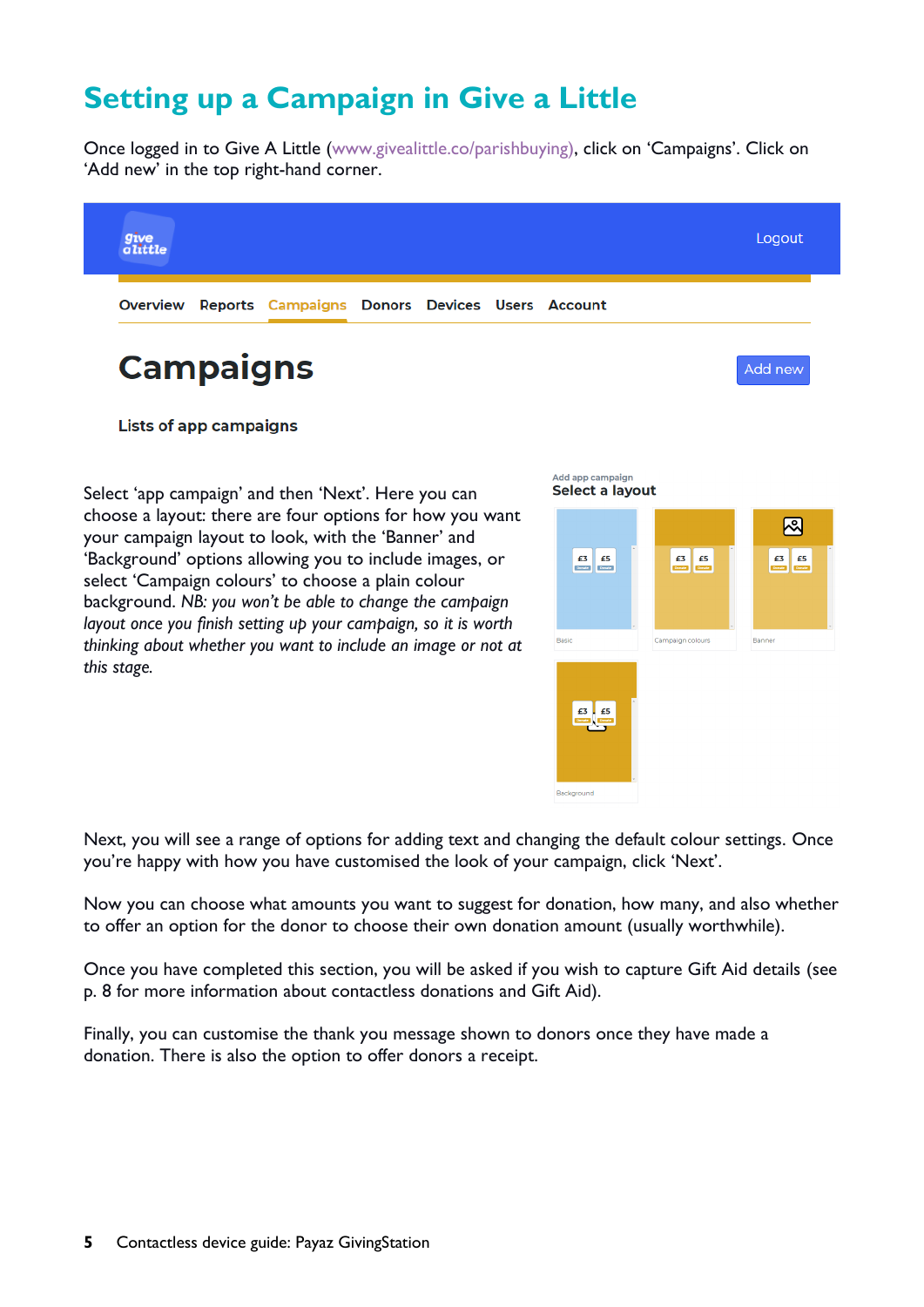# **Setting up a Campaign in Give a Little**

Once logged in to Give A Little (www[.givealittle.co/](http://www.givealittle.co/)parishbuying), click on 'Campaigns'. Click on 'Add new' in the top right-hand corner.



**Lists of app campaigns** 

Select 'app campaign' and then 'Next'. Here you can choose a layout: there are four options for how you want your campaign layout to look, with the 'Banner' and 'Background' options allowing you to include images, or select 'Campaign colours' to choose a plain colour background. *NB: you won't be able to change the campaign layout once you finish setting up your campaign, so it is worth thinking about whether you want to include an image or not at this stage.*



Next, you will see a range of options for adding text and changing the default colour settings. Once you're happy with how you have customised the look of your campaign, click 'Next'.

Now you can choose what amounts you want to suggest for donation, how many, and also whether to offer an option for the donor to choose their own donation amount (usually worthwhile).

Once you have completed this section, you will be asked if you wish to capture Gift Aid details (see p. 8 for more information about contactless donations and Gift Aid).

Finally, you can customise the thank you message shown to donors once they have made a donation. There is also the option to offer donors a receipt.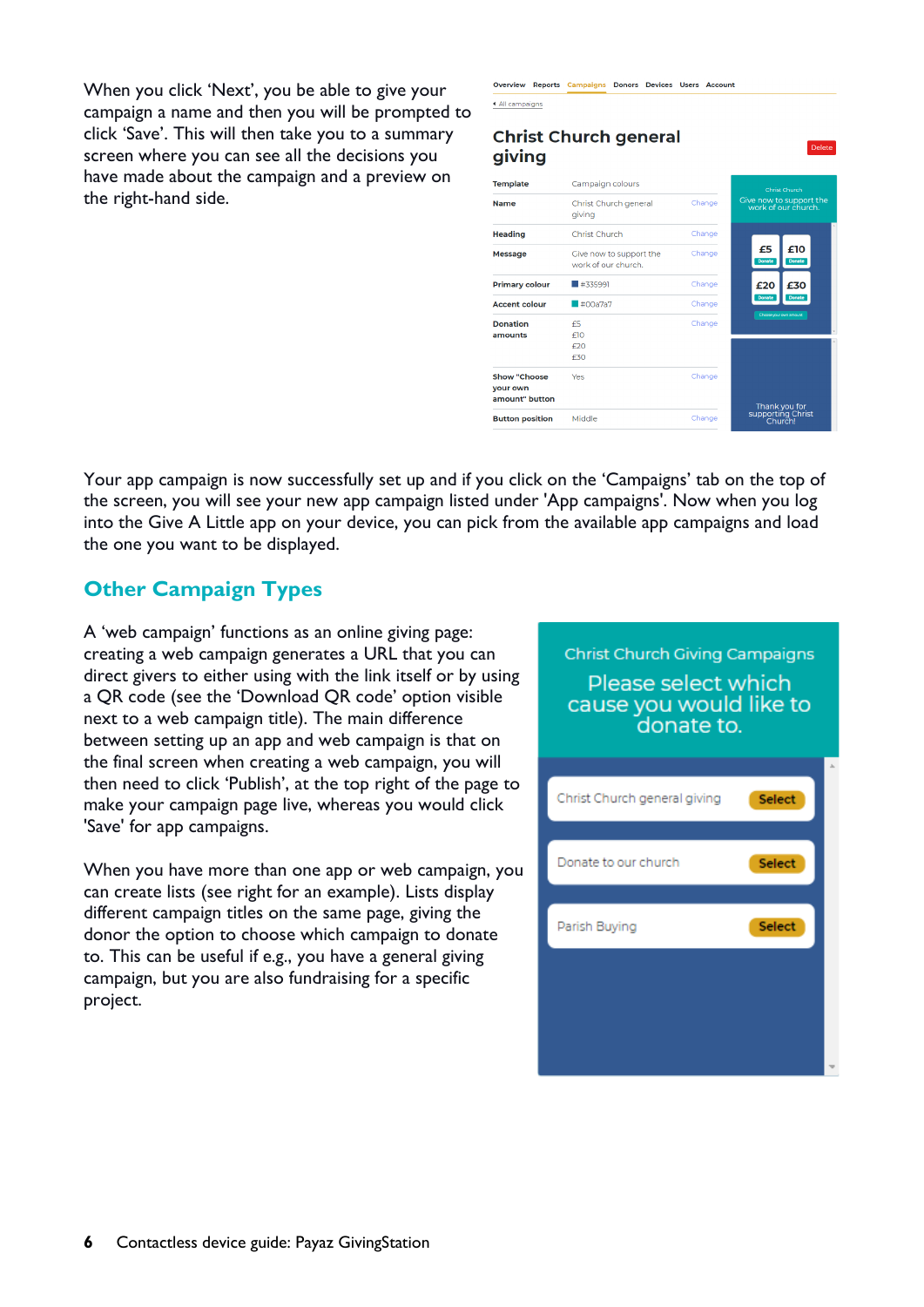When you click 'Next', you be able to give your campaign a name and then you will be prompted to click 'Save'. This will then take you to a summary screen where you can see all the decisions you have made about the campaign and a preview on the right-hand side.

| ▲ All campaigns                                   |                                                |        |                                                |
|---------------------------------------------------|------------------------------------------------|--------|------------------------------------------------|
| giving                                            | <b>Christ Church general</b>                   |        | <b>Delete</b>                                  |
| <b>Template</b>                                   | Campaign colours                               |        | Christ Church                                  |
| <b>Name</b>                                       | Christ Church general<br>giving                | Change | Give now to support the<br>work of our church. |
| <b>Heading</b>                                    | Christ Church                                  | Change |                                                |
| <b>Message</b>                                    | Give now to support the<br>work of our church. | Change | £10<br>£5<br><b>Donate</b><br><b>Donate</b>    |
| <b>Primary colour</b>                             | #335991                                        | Change | £20<br>£30                                     |
| <b>Accent colour</b>                              | #00a7a7                                        | Change | Donate<br>Donate                               |
| <b>Donation</b><br>amounts                        | F5<br>f10<br>f20<br>£30                        | Change | Choose your own amount                         |
| <b>Show "Choose</b><br>your own<br>amount" button | Yes                                            | Change | Thank you for                                  |
| <b>Button position</b>                            | Middle                                         | Change | supporting Christ<br>Church!                   |

Overview Reports Campaigns Donors Devices Users Account

Your app campaign is now successfully set up and if you click on the 'Campaigns' tab on the top of the screen, you will see your new app campaign listed under 'App campaigns'. Now when you log into the Give A Little app on your device, you can pick from the available app campaigns and load the one you want to be displayed.

# **Other Campaign Types**

A 'web campaign' functions as an online giving page: creating a web campaign generates a URL that you can direct givers to either using with the link itself or by using a QR code (see the 'Download QR code' option visible next to a web campaign title). The main difference between setting up an app and web campaign is that on the final screen when creating a web campaign, you will then need to click 'Publish', at the top right of the page to make your campaign page live, whereas you would click 'Save' for app campaigns.

When you have more than one app or web campaign, you can create lists (see right for an example). Lists display different campaign titles on the same page, giving the donor the option to choose which campaign to donate to. This can be useful if e.g., you have a general giving campaign, but you are also fundraising for a specific project.

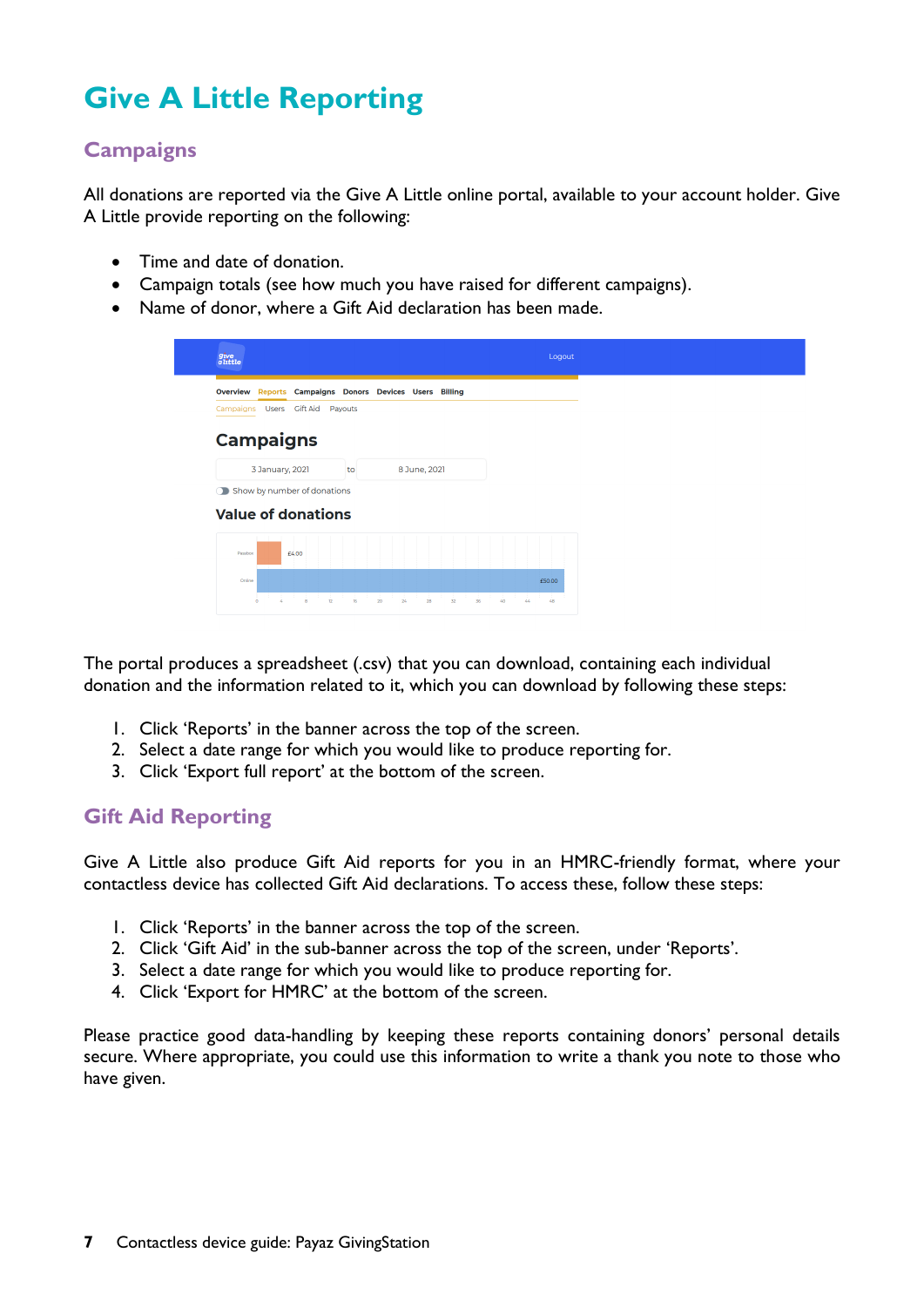# **Give A Little Reporting**

# **Campaigns**

All donations are reported via the Give A Little online portal, available to your account holder. Give A Little provide reporting on the following:

- Time and date of donation.
- Campaign totals (see how much you have raised for different campaigns).
- Name of donor, where a Gift Aid declaration has been made.

| $g_{\text{ive}}$<br>$a$ little                                     | Logout               |
|--------------------------------------------------------------------|----------------------|
| Overview Reports Campaigns Donors Devices Users Billing            |                      |
| Campaigns Users Gift Aid Payouts                                   |                      |
| <b>Campaigns</b>                                                   |                      |
| 3 January, 2021<br>8 June, 2021<br>to                              |                      |
| Show by number of donations                                        |                      |
| <b>Value of donations</b>                                          |                      |
| £4.00<br>Passbox                                                   |                      |
| Online                                                             | £50.00               |
| $\frac{1}{8}$<br>z.<br>12<br>16<br>$\circ$<br>20<br>24<br>28<br>32 | 36<br>48<br>40<br>44 |

The portal produces a spreadsheet (.csv) that you can download, containing each individual donation and the information related to it, which you can download by following these steps:

- 1. Click 'Reports' in the banner across the top of the screen.
- 2. Select a date range for which you would like to produce reporting for.
- 3. Click 'Export full report' at the bottom of the screen.

#### **Gift Aid Reporting**

Give A Little also produce Gift Aid reports for you in an HMRC-friendly format, where your contactless device has collected Gift Aid declarations. To access these, follow these steps:

- 1. Click 'Reports' in the banner across the top of the screen.
- 2. Click 'Gift Aid' in the sub-banner across the top of the screen, under 'Reports'.
- 3. Select a date range for which you would like to produce reporting for.
- 4. Click 'Export for HMRC' at the bottom of the screen.

Please practice good data-handling by keeping these reports containing donors' personal details secure. Where appropriate, you could use this information to write a thank you note to those who have given.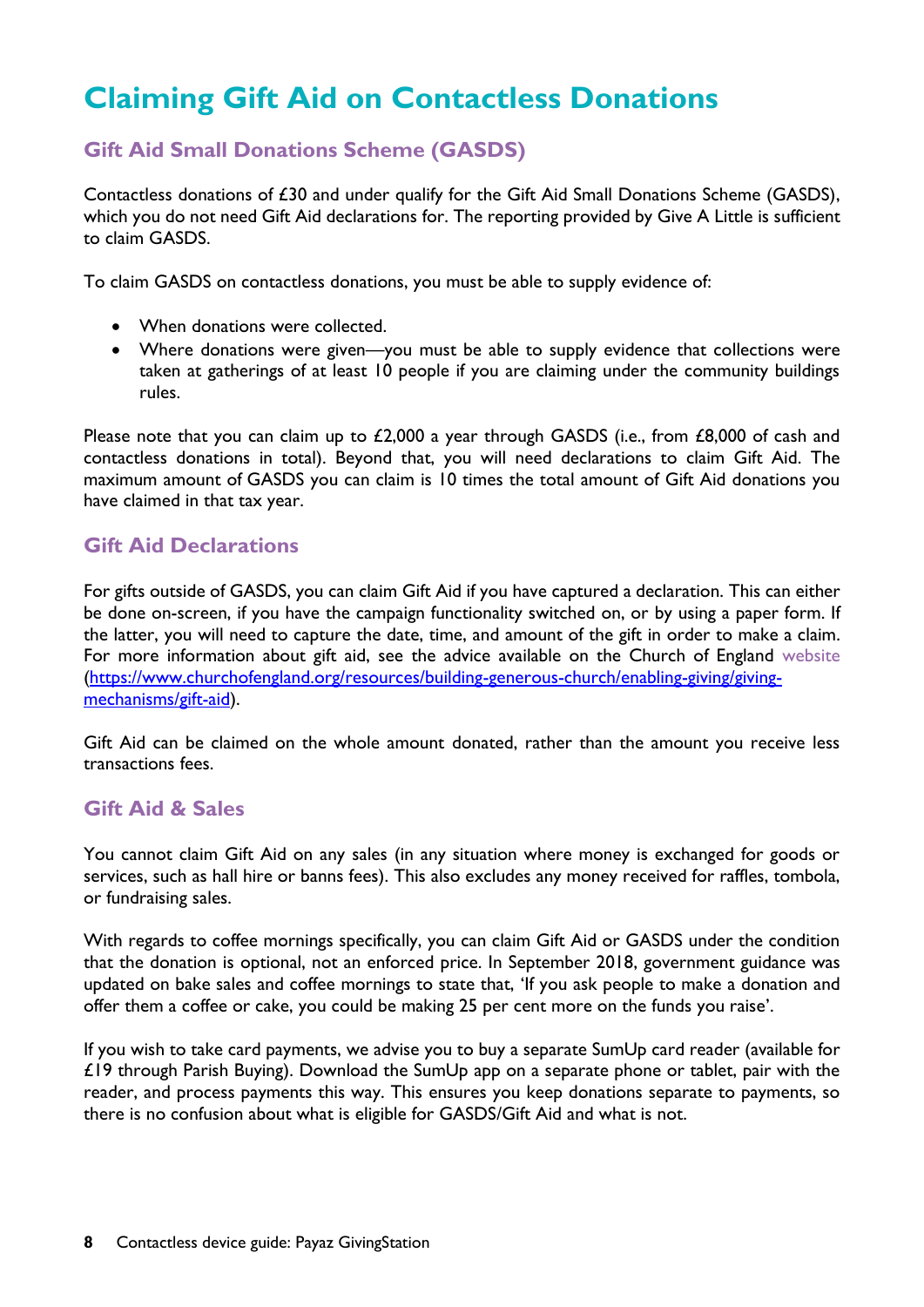# **Claiming Gift Aid on Contactless Donations**

# **Gift Aid Small Donations Scheme (GASDS)**

Contactless donations of £30 and under qualify for the Gift Aid Small Donations Scheme (GASDS), which you do not need Gift Aid declarations for. The reporting provided by Give A Little is sufficient to claim GASDS.

To claim GASDS on contactless donations, you must be able to supply evidence of:

- When donations were collected.
- Where donations were given—you must be able to supply evidence that collections were taken at gatherings of at least 10 people if you are claiming under the community buildings rules.

Please note that you can claim up to £2,000 a year through GASDS (i.e., from £8,000 of cash and contactless donations in total). Beyond that, you will need declarations to claim Gift Aid. The maximum amount of GASDS you can claim is 10 times the total amount of Gift Aid donations you have claimed in that tax year.

#### **Gift Aid Declarations**

For gifts outside of GASDS, you can claim Gift Aid if you have captured a declaration. This can either be done on-screen, if you have the campaign functionality switched on, or by using a paper form. If the latter, you will need to capture the date, time, and amount of the gift in order to make a claim. For more information about gift aid, see the advice available on the Church of England [website](https://www.churchofengland.org/resources/building-generous-church/enabling-giving/giving-mechanisms/gift-aid) [\(https://www.churchofengland.org/resources/building-generous-church/enabling-giving/giving](https://www.churchofengland.org/resources/building-generous-church/enabling-giving/giving-mechanisms/gift-aid)[mechanisms/gift-aid\)](https://www.churchofengland.org/resources/building-generous-church/enabling-giving/giving-mechanisms/gift-aid).

Gift Aid can be claimed on the whole amount donated, rather than the amount you receive less transactions fees.

#### **Gift Aid & Sales**

You cannot claim Gift Aid on any sales (in any situation where money is exchanged for goods or services, such as hall hire or banns fees). This also excludes any money received for raffles, tombola, or fundraising sales.

With regards to coffee mornings specifically, you can claim Gift Aid or GASDS under the condition that the donation is optional, not an enforced price. In September 2018, government guidance was updated on bake sales and coffee mornings to state that, 'If you ask people to make a donation and offer them a coffee or cake, you could be making 25 per cent more on the funds you raise'.

If you wish to take card payments, we advise you to buy a separate SumUp card reader (available for £19 through Parish Buying). Download the SumUp app on a separate phone or tablet, pair with the reader, and process payments this way. This ensures you keep donations separate to payments, so there is no confusion about what is eligible for GASDS/Gift Aid and what is not.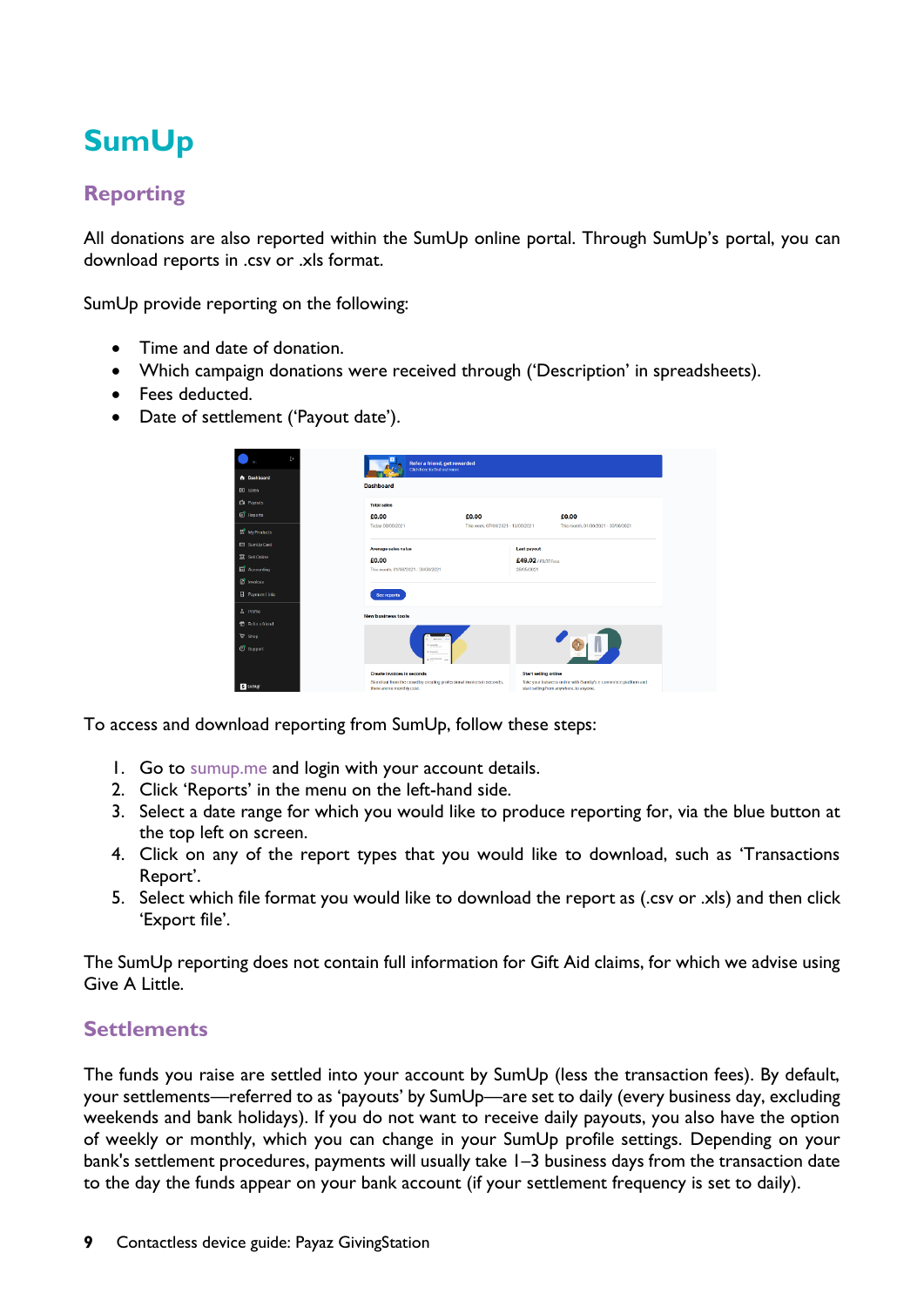# **SumUp**

# **Reporting**

All donations are also reported within the SumUp online portal. Through SumUp's portal, you can download reports in .csv or .xls format.

SumUp provide reporting on the following:

- Time and date of donation.
- Which campaign donations were received through ('Description' in spreadsheets).
- Fees deducted.
- Date of settlement ('Payout date').

| f+                               | Refer a friend, get rewarded<br>Click here to find out more                                          |                                    |                                                                                                           |  |
|----------------------------------|------------------------------------------------------------------------------------------------------|------------------------------------|-----------------------------------------------------------------------------------------------------------|--|
| n Dashboard<br><b>日 Sales</b>    | <b>Dashboard</b>                                                                                     |                                    |                                                                                                           |  |
| <b>CB</b> Payouts                | <b>Total sales</b>                                                                                   |                                    |                                                                                                           |  |
| <b>ED</b> Reports                | £0.00                                                                                                | £0.00                              | £0.00                                                                                                     |  |
| <b>1<sup>9</sup></b> My Products | Today. 08/06/2021                                                                                    | This week. 07/08/2021 - 13/06/2021 | This month, 01/06/2021 - 30/06/2021                                                                       |  |
| SumUp Card                       | Average sales value                                                                                  |                                    | Last payout                                                                                               |  |
| 景 Sell Online                    | £0.00                                                                                                |                                    | £49,02/ F0.98 fees                                                                                        |  |
| Accounting                       | This month, 01/06/2021 - 30/06/2021                                                                  |                                    | 28/05/2021                                                                                                |  |
| <sup>1</sup> Invoices            |                                                                                                      |                                    |                                                                                                           |  |
| Raymont Links                    | See reports                                                                                          |                                    |                                                                                                           |  |
| & Profile                        | <b>New business tools</b>                                                                            |                                    |                                                                                                           |  |
| <sup>6</sup> Refer a friend      |                                                                                                      |                                    |                                                                                                           |  |
| <b>De Shop</b>                   |                                                                                                      |                                    |                                                                                                           |  |
| Support                          | 0 located<br>di source<br>a territorio                                                               |                                    |                                                                                                           |  |
|                                  | Create involces in seconds                                                                           |                                    | <b>Start selling online</b>                                                                               |  |
| 2 sumup                          | Stand out from the crowd by creating professional invoices in seconds,<br>there are no monthly cost. |                                    | Take your bulsness online with SumUp's e-commerce platform and<br>start selling from anywhere, to anyone. |  |

To access and download reporting from SumUp, follow these steps:

- 1. Go to [sumup.me](http://www.sumup.me/) and login with your account details.
- 2. Click 'Reports' in the menu on the left-hand side.
- 3. Select a date range for which you would like to produce reporting for, via the blue button at the top left on screen.
- 4. Click on any of the report types that you would like to download, such as 'Transactions Report'.
- 5. Select which file format you would like to download the report as (.csv or .xls) and then click 'Export file'.

The SumUp reporting does not contain full information for Gift Aid claims, for which we advise using Give A Little.

#### **Settlements**

The funds you raise are settled into your account by SumUp (less the transaction fees). By default, your settlements—referred to as 'payouts' by SumUp—are set to daily (every business day, excluding weekends and bank holidays). If you do not want to receive daily payouts, you also have the option of weekly or monthly, which you can change in your SumUp profile settings. Depending on your bank's settlement procedures, payments will usually take 1–3 business days from the transaction date to the day the funds appear on your bank account (if your settlement frequency is set to daily).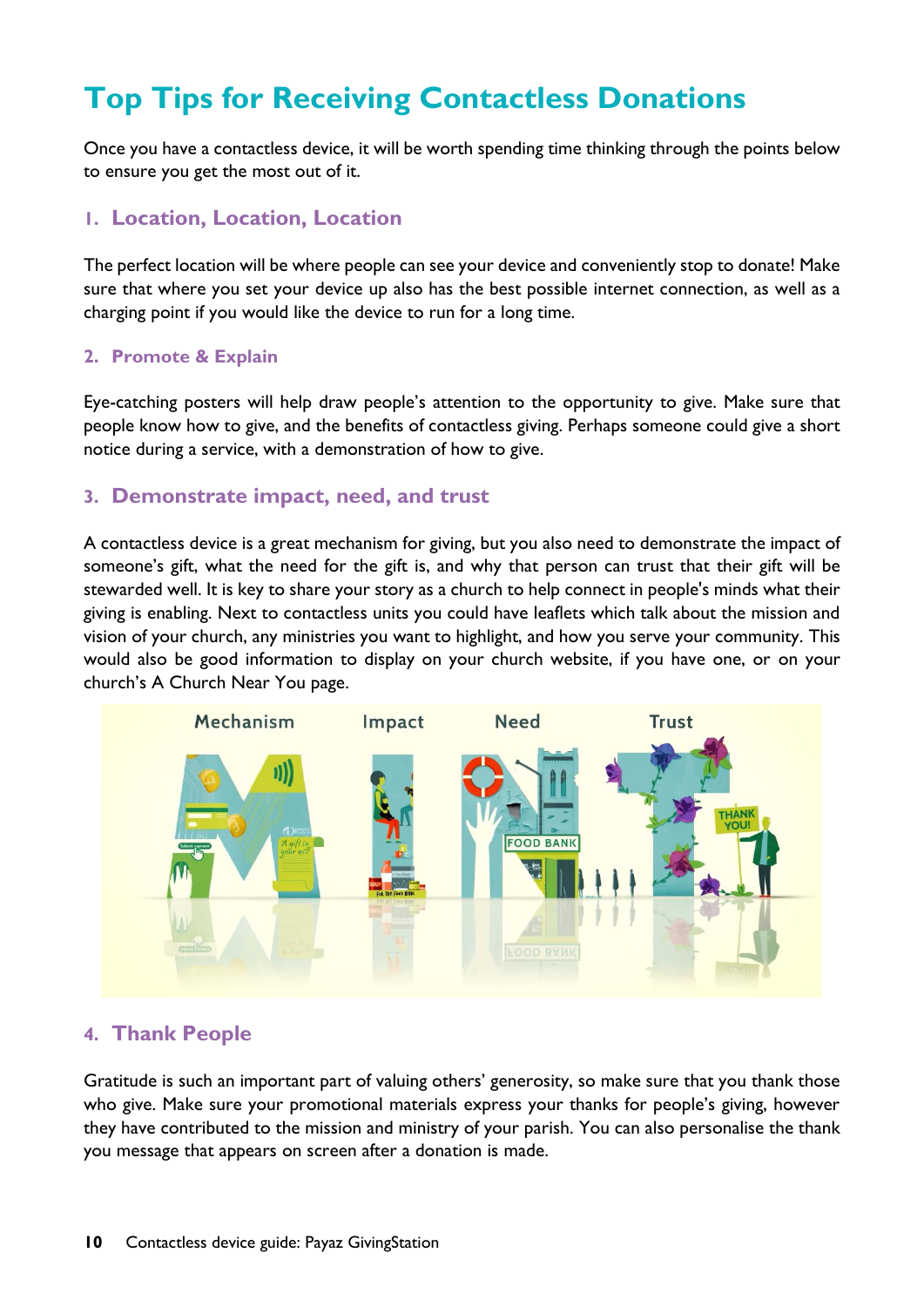# **Top Tips for Receiving Contactless Donations**

Once you have a contactless device, it will be worth spending time thinking through the points below to ensure you get the most out of it.

#### **1. Location, Location, Location**

The perfect location will be where people can see your device and conveniently stop to donate! Make sure that where you set your device up also has the best possible internet connection, as well as a charging point if you would like the device to run for a long time.

#### **2. Promote & Explain**

Eye-catching posters will help draw people's attention to the opportunity to give. Make sure that people know how to give, and the benefits of contactless giving. Perhaps someone could give a short notice during a service, with a demonstration of how to give.

#### **3. Demonstrate impact, need, and trust**

A contactless device is a great mechanism for giving, but you also need to demonstrate the impact of someone's gift, what the need for the gift is, and why that person can trust that their gift will be stewarded well. It is key to share your story as a church to help connect in people's minds what their giving is enabling. Next to contactless units you could have leaflets which talk about the mission and vision of your church, any ministries you want to highlight, and how you serve your community. This would also be good information to display on your church website, if you have one, or on your church's A Church Near You page.



#### **4. Thank People**

Gratitude is such an important part of valuing others' generosity, so make sure that you thank those who give. Make sure your promotional materials express your thanks for people's giving, however they have contributed to the mission and ministry of your parish. You can also personalise the thank you message that appears on screen after a donation is made.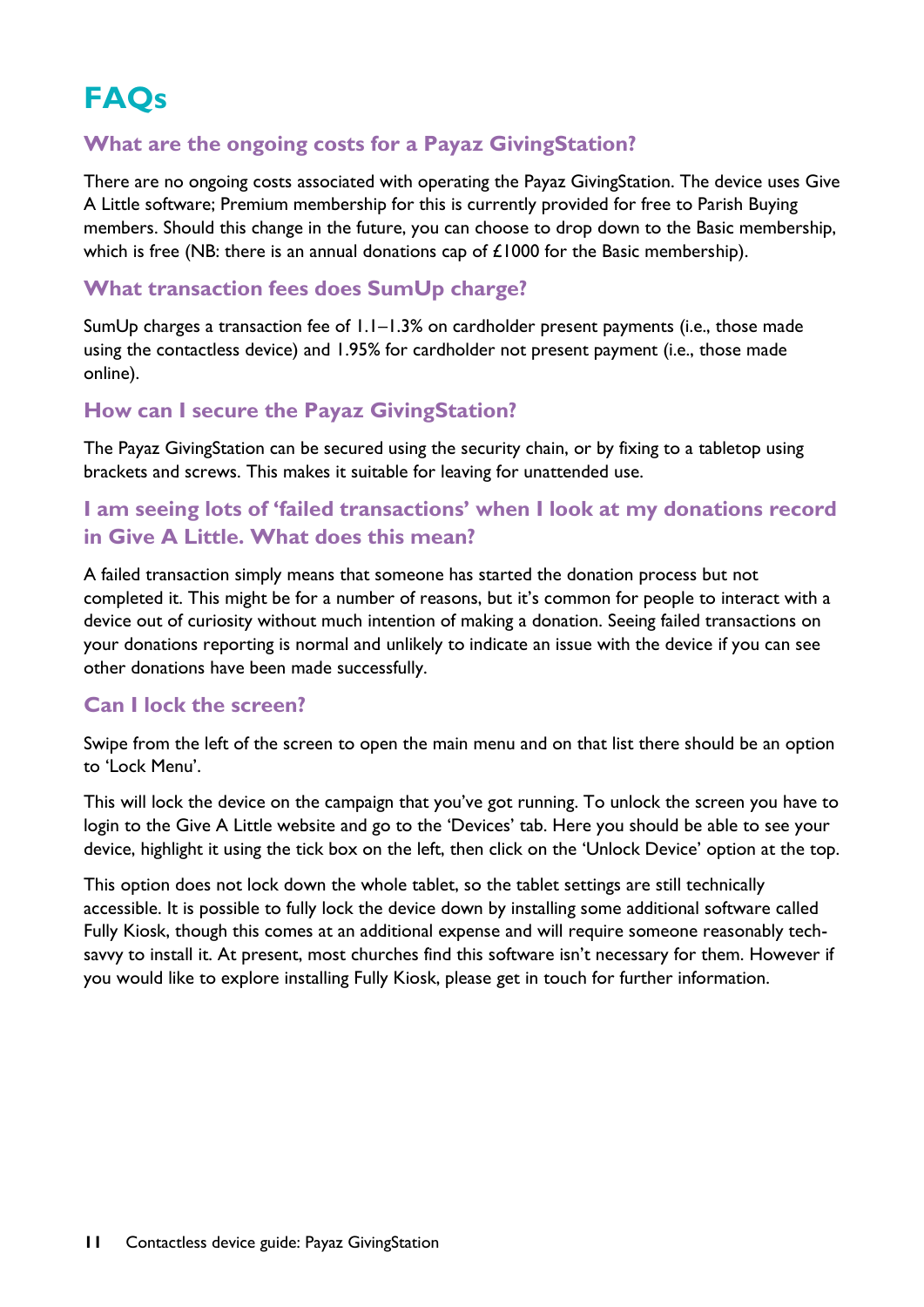# **FAQs**

### **What are the ongoing costs for a Payaz GivingStation?**

There are no ongoing costs associated with operating the Payaz GivingStation. The device uses Give A Little software; Premium membership for this is currently provided for free to Parish Buying members. Should this change in the future, you can choose to drop down to the Basic membership, which is free (NB: there is an annual donations cap of £1000 for the Basic membership).

### **What transaction fees does SumUp charge?**

SumUp charges a transaction fee of 1.1–1.3% on cardholder present payments (i.e., those made using the contactless device) and 1.95% for cardholder not present payment (i.e., those made online).

### **How can I secure the Payaz GivingStation?**

The Payaz GivingStation can be secured using the security chain, or by fixing to a tabletop using brackets and screws. This makes it suitable for leaving for unattended use.

### **I am seeing lots of 'failed transactions' when I look at my donations record in Give A Little. What does this mean?**

A failed transaction simply means that someone has started the donation process but not completed it. This might be for a number of reasons, but it's common for people to interact with a device out of curiosity without much intention of making a donation. Seeing failed transactions on your donations reporting is normal and unlikely to indicate an issue with the device if you can see other donations have been made successfully.

### **Can I lock the screen?**

Swipe from the left of the screen to open the main menu and on that list there should be an option to 'Lock Menu'.

This will lock the device on the campaign that you've got running. To unlock the screen you have to login to the Give A Little website and go to the 'Devices' tab. Here you should be able to see your device, highlight it using the tick box on the left, then click on the 'Unlock Device' option at the top.

This option does not lock down the whole tablet, so the tablet settings are still technically accessible. It is possible to fully lock the device down by installing some additional software called Fully Kiosk, though this comes at an additional expense and will require someone reasonably techsavvy to install it. At present, most churches find this software isn't necessary for them. However if you would like to explore installing Fully Kiosk, please get in touch for further information.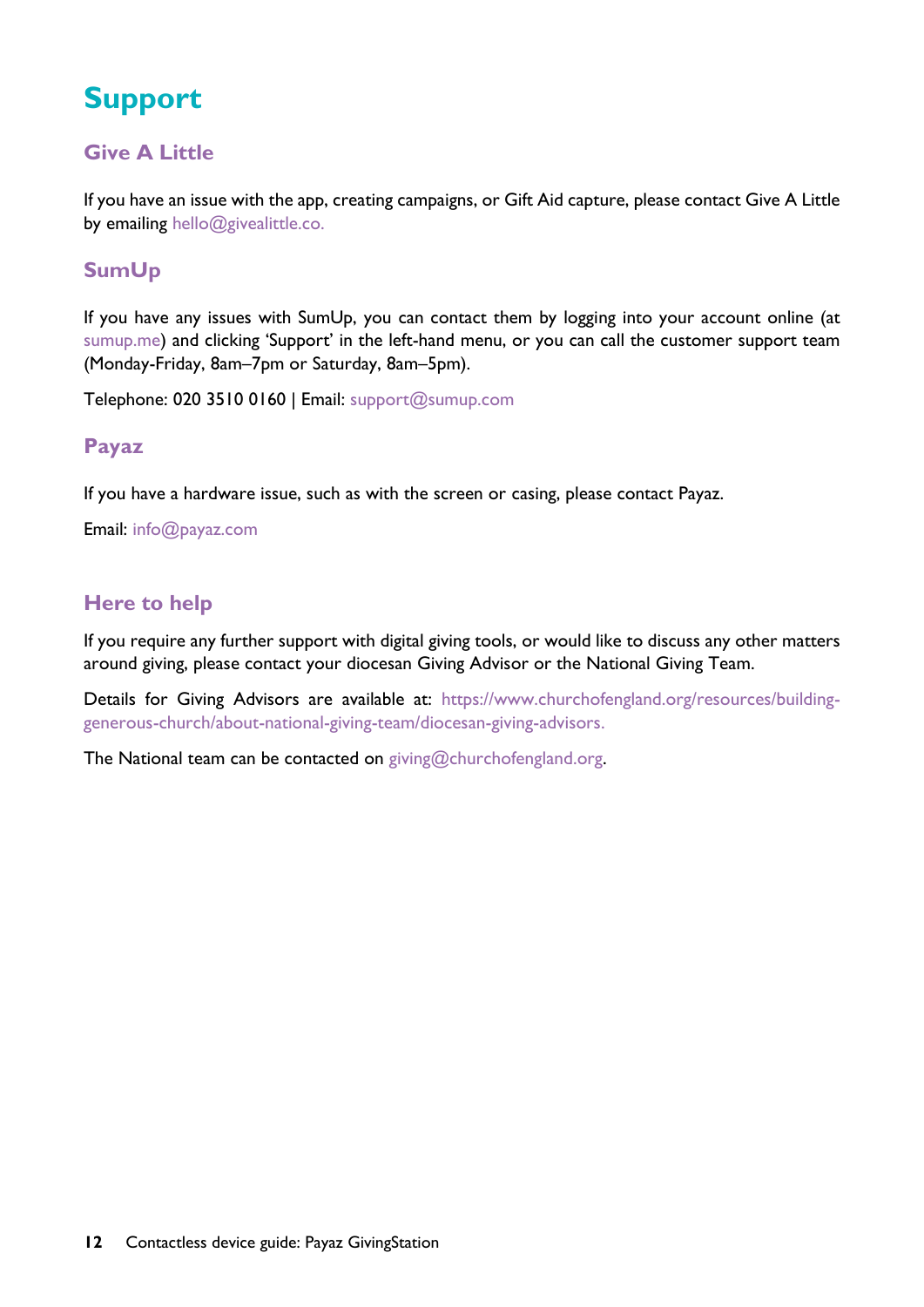# **Support**

# **Give A Little**

If you have an issue with the app, creating campaigns, or Gift Aid capture, please contact Give A Little by emailing [hello@givealittle.co.](mailto:hello@givealittle.co)

# **SumUp**

If you have any issues with SumUp, you can contact them by logging into your account online (at [sumup.me](http://www.sumup.me/)) and clicking 'Support' in the left-hand menu, or you can call the customer support team (Monday-Friday, 8am–7pm or Saturday, 8am–5pm).

Telephone: 020 3510 0160 | Email: [support@sumup.com](mailto:support@sumup.com)

#### **Payaz**

If you have a hardware issue, such as with the screen or casing, please contact Payaz.

Email: [info@payaz.com](mailto:info@payaz.com)

# **Here to help**

If you require any further support with digital giving tools, or would like to discuss any other matters around giving, please contact your diocesan Giving Advisor or the National Giving Team.

Details for Giving Advisors are available at: [https://www.churchofengland.org/resources/building](https://www.churchofengland.org/resources/building-generous-church/about-national-giving-team/diocesan-giving-advisors)[generous-church/about-national-giving-team/diocesan-giving-advisors.](https://www.churchofengland.org/resources/building-generous-church/about-national-giving-team/diocesan-giving-advisors)

The National team can be contacted on giving@churchofengland.org.